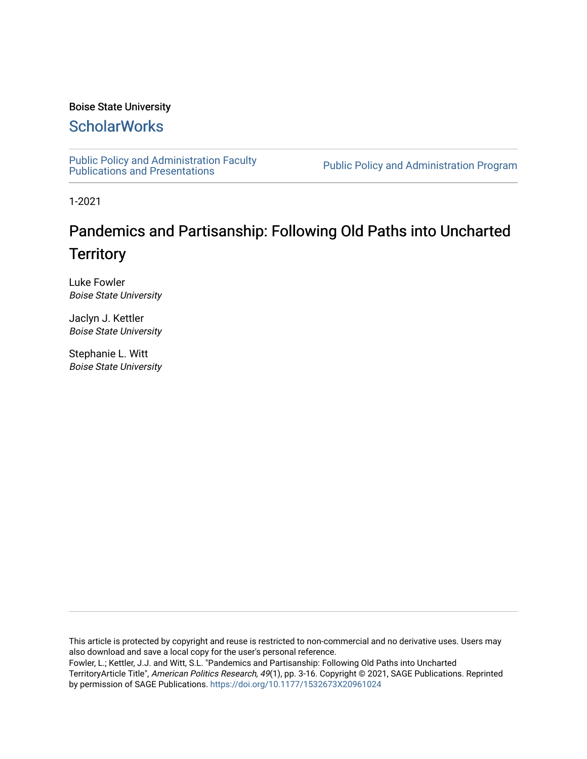# Boise State University

# **ScholarWorks**

Public Policy and Administration Faculty<br>Publications and Presentations

Public Policy and Administration Program

1-2021

# Pandemics and Partisanship: Following Old Paths into Uncharted **Territory**

Luke Fowler Boise State University

Jaclyn J. Kettler Boise State University

Stephanie L. Witt Boise State University

This article is protected by copyright and reuse is restricted to non-commercial and no derivative uses. Users may also download and save a local copy for the user's personal reference. Fowler, L.; Kettler, J.J. and Witt, S.L. "Pandemics and Partisanship: Following Old Paths into Uncharted TerritoryArticle Title", American Politics Research, 49(1), pp. 3-16. Copyright © 2021, SAGE Publications. Reprinted

by permission of SAGE Publications.<https://doi.org/10.1177/1532673X20961024>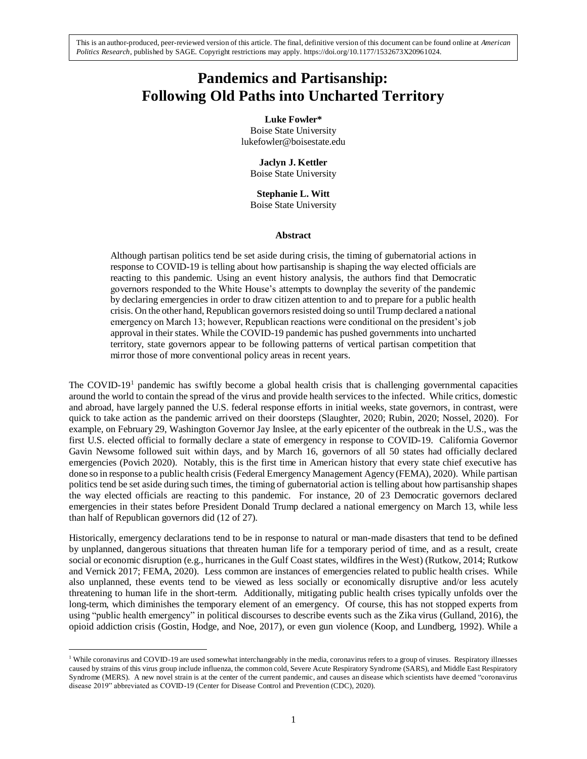# **Pandemics and Partisanship: Following Old Paths into Uncharted Territory**

**Luke Fowler\***

Boise State University lukefowler@boisestate.edu

**Jaclyn J. Kettler**

Boise State University

**Stephanie L. Witt**

Boise State University

#### **Abstract**

Although partisan politics tend be set aside during crisis, the timing of gubernatorial actions in response to COVID-19 is telling about how partisanship is shaping the way elected officials are reacting to this pandemic. Using an event history analysis, the authors find that Democratic governors responded to the White House's attempts to downplay the severity of the pandemic by declaring emergencies in order to draw citizen attention to and to prepare for a public health crisis. On the other hand, Republican governors resisted doing so until Trump declared a national emergency on March 13; however, Republican reactions were conditional on the president's job approval in their states. While the COVID-19 pandemic has pushed governments into uncharted territory, state governors appear to be following patterns of vertical partisan competition that mirror those of more conventional policy areas in recent years.

The COVID-19<sup>1</sup> pandemic has swiftly become a global health crisis that is challenging governmental capacities around the world to contain the spread of the virus and provide health services to the infected. While critics, domestic and abroad, have largely panned the U.S. federal response efforts in initial weeks, state governors, in contrast, were quick to take action as the pandemic arrived on their doorsteps (Slaughter, 2020; Rubin, 2020; Nossel, 2020). For example, on February 29, Washington Governor Jay Inslee, at the early epicenter of the outbreak in the U.S., was the first U.S. elected official to formally declare a state of emergency in response to COVID-19. California Governor Gavin Newsome followed suit within days, and by March 16, governors of all 50 states had officially declared emergencies (Povich 2020). Notably, this is the first time in American history that every state chief executive has done so in response to a public health crisis (Federal Emergency Management Agency (FEMA), 2020). While partisan politics tend be set aside during such times, the timing of gubernatorial action is telling about how partisanship shapes the way elected officials are reacting to this pandemic. For instance, 20 of 23 Democratic governors declared emergencies in their states before President Donald Trump declared a national emergency on March 13, while less than half of Republican governors did (12 of 27).

Historically, emergency declarations tend to be in response to natural or man-made disasters that tend to be defined by unplanned, dangerous situations that threaten human life for a temporary period of time, and as a result, create social or economic disruption (e.g., hurricanes in the Gulf Coast states, wildfires in the West) (Rutkow, 2014; Rutkow and Vernick 2017; FEMA, 2020). Less common are instances of emergencies related to public health crises. While also unplanned, these events tend to be viewed as less socially or economically disruptive and/or less acutely threatening to human life in the short-term. Additionally, mitigating public health crises typically unfolds over the long-term, which diminishes the temporary element of an emergency. Of course, this has not stopped experts from using "public health emergency" in political discourses to describe events such as the Zika virus (Gulland, 2016), the opioid addiction crisis (Gostin, Hodge, and Noe, 2017), or even gun violence (Koop, and Lundberg, 1992). While a

l

<sup>&</sup>lt;sup>1</sup> While coronavirus and COVID-19 are used somewhat interchangeably in the media, coronavirus refers to a group of viruses. Respiratory illnesses caused by strains of this virus group include influenza, the common cold, Severe Acute Respiratory Syndrome (SARS), and Middle East Respiratory Syndrome (MERS). A new novel strain is at the center of the current pandemic, and causes an disease which scientists have deemed "coronavirus disease 2019" abbreviated as COVID-19 (Center for Disease Control and Prevention (CDC), 2020).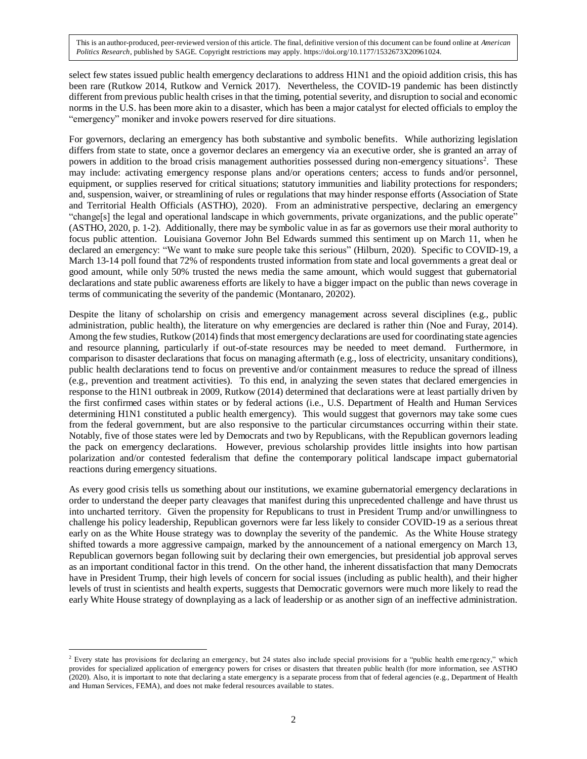select few states issued public health emergency declarations to address H1N1 and the opioid addition crisis, this has been rare (Rutkow 2014, Rutkow and Vernick 2017). Nevertheless, the COVID-19 pandemic has been distinctly different from previous public health crises in that the timing, potential severity, and disruption to social and economic norms in the U.S. has been more akin to a disaster, which has been a major catalyst for elected officials to employ the "emergency" moniker and invoke powers reserved for dire situations.

For governors, declaring an emergency has both substantive and symbolic benefits. While authorizing legislation differs from state to state, once a governor declares an emergency via an executive order, she is granted an array of powers in addition to the broad crisis management authorities possessed during non-emergency situations<sup>2</sup>. These may include: activating emergency response plans and/or operations centers; access to funds and/or personnel, equipment, or supplies reserved for critical situations; statutory immunities and liability protections for responders; and, suspension, waiver, or streamlining of rules or regulations that may hinder response efforts (Association of State and Territorial Health Officials (ASTHO), 2020). From an administrative perspective, declaring an emergency "change[s] the legal and operational landscape in which governments, private organizations, and the public operate" (ASTHO, 2020, p. 1-2). Additionally, there may be symbolic value in as far as governors use their moral authority to focus public attention. Louisiana Governor John Bel Edwards summed this sentiment up on March 11, when he declared an emergency: "We want to make sure people take this serious" (Hilburn, 2020). Specific to COVID-19, a March 13-14 poll found that 72% of respondents trusted information from state and local governments a great deal or good amount, while only 50% trusted the news media the same amount, which would suggest that gubernatorial declarations and state public awareness efforts are likely to have a bigger impact on the public than news coverage in terms of communicating the severity of the pandemic (Montanaro, 20202).

Despite the litany of scholarship on crisis and emergency management across several disciplines (e.g., public administration, public health), the literature on why emergencies are declared is rather thin (Noe and Furay, 2014). Among the few studies, Rutkow (2014) finds that most emergency declarations are used for coordinating state agencies and resource planning, particularly if out-of-state resources may be needed to meet demand. Furthermore, in comparison to disaster declarations that focus on managing aftermath (e.g., loss of electricity, unsanitary conditions), public health declarations tend to focus on preventive and/or containment measures to reduce the spread of illness (e.g., prevention and treatment activities). To this end, in analyzing the seven states that declared emergencies in response to the H1N1 outbreak in 2009, Rutkow (2014) determined that declarations were at least partially driven by the first confirmed cases within states or by federal actions (i.e., U.S. Department of Health and Human Services determining H1N1 constituted a public health emergency). This would suggest that governors may take some cues from the federal government, but are also responsive to the particular circumstances occurring within their state. Notably, five of those states were led by Democrats and two by Republicans, with the Republican governors leading the pack on emergency declarations. However, previous scholarship provides little insights into how partisan polarization and/or contested federalism that define the contemporary political landscape impact gubernatorial reactions during emergency situations.

As every good crisis tells us something about our institutions, we examine gubernatorial emergency declarations in order to understand the deeper party cleavages that manifest during this unprecedented challenge and have thrust us into uncharted territory. Given the propensity for Republicans to trust in President Trump and/or unwillingness to challenge his policy leadership, Republican governors were far less likely to consider COVID-19 as a serious threat early on as the White House strategy was to downplay the severity of the pandemic. As the White House strategy shifted towards a more aggressive campaign, marked by the announcement of a national emergency on March 13, Republican governors began following suit by declaring their own emergencies, but presidential job approval serves as an important conditional factor in this trend. On the other hand, the inherent dissatisfaction that many Democrats have in President Trump, their high levels of concern for social issues (including as public health), and their higher levels of trust in scientists and health experts, suggests that Democratic governors were much more likely to read the early White House strategy of downplaying as a lack of leadership or as another sign of an ineffective administration.

l

<sup>&</sup>lt;sup>2</sup> Every state has provisions for declaring an emergency, but 24 states also include special provisions for a "public health emergency," which provides for specialized application of emergency powers for crises or disasters that threaten public health (for more information, see ASTHO (2020). Also, it is important to note that declaring a state emergency is a separate process from that of federal agencies (e.g., Department of Health and Human Services, FEMA), and does not make federal resources available to states.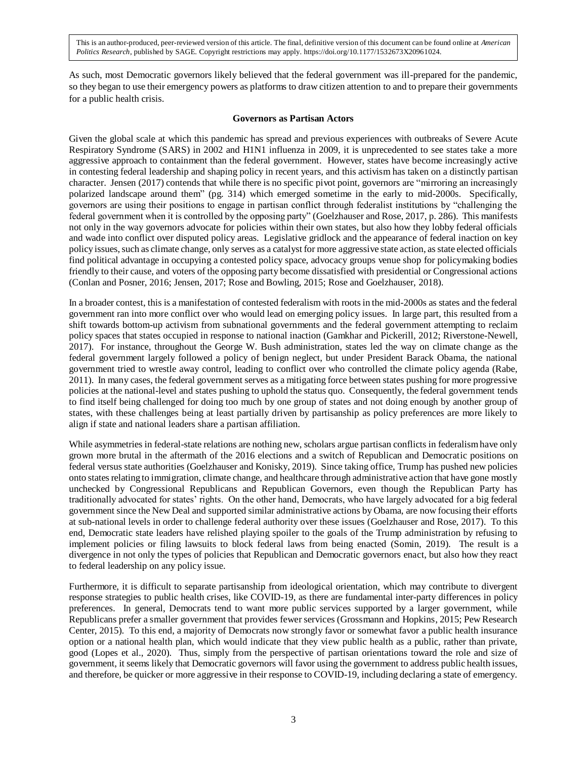As such, most Democratic governors likely believed that the federal government was ill-prepared for the pandemic, so they began to use their emergency powers as platforms to draw citizen attention to and to prepare their governments for a public health crisis.

# **Governors as Partisan Actors**

Given the global scale at which this pandemic has spread and previous experiences with outbreaks of Severe Acute Respiratory Syndrome (SARS) in 2002 and H1N1 influenza in 2009, it is unprecedented to see states take a more aggressive approach to containment than the federal government. However, states have become increasingly active in contesting federal leadership and shaping policy in recent years, and this activism has taken on a distinctly partisan character. Jensen (2017) contends that while there is no specific pivot point, governors are "mirroring an increasingly polarized landscape around them" (pg. 314) which emerged sometime in the early to mid-2000s. Specifically, governors are using their positions to engage in partisan conflict through federalist institutions by "challenging the federal government when it is controlled by the opposing party" (Goelzhauser and Rose, 2017, p. 286). This manifests not only in the way governors advocate for policies within their own states, but also how they lobby federal officials and wade into conflict over disputed policy areas. Legislative gridlock and the appearance of federal inaction on key policy issues, such as climate change, only serves as a catalyst for more aggressive state action, as state elected officials find political advantage in occupying a contested policy space, advocacy groups venue shop for policymaking bodies friendly to their cause, and voters of the opposing party become dissatisfied with presidential or Congressional actions (Conlan and Posner, 2016; Jensen, 2017; Rose and Bowling, 2015; Rose and Goelzhauser, 2018).

In a broader contest, this is a manifestation of contested federalism with roots in the mid-2000s as states and the federal government ran into more conflict over who would lead on emerging policy issues. In large part, this resulted from a shift towards bottom-up activism from subnational governments and the federal government attempting to reclaim policy spaces that states occupied in response to national inaction (Gamkhar and Pickerill, 2012; Riverstone-Newell, 2017). For instance, throughout the George W. Bush administration, states led the way on climate change as the federal government largely followed a policy of benign neglect, but under President Barack Obama, the national government tried to wrestle away control, leading to conflict over who controlled the climate policy agenda (Rabe, 2011). In many cases, the federal government serves as a mitigating force between states pushing for more progressive policies at the national-level and states pushing to uphold the status quo. Consequently, the federal government tends to find itself being challenged for doing too much by one group of states and not doing enough by another group of states, with these challenges being at least partially driven by partisanship as policy preferences are more likely to align if state and national leaders share a partisan affiliation.

While asymmetries in federal-state relations are nothing new, scholars argue partisan conflicts in federalism have only grown more brutal in the aftermath of the 2016 elections and a switch of Republican and Democratic positions on federal versus state authorities (Goelzhauser and Konisky, 2019). Since taking office, Trump has pushed new policies onto states relating to immigration, climate change, and healthcare through administrative action that have gone mostly unchecked by Congressional Republicans and Republican Governors, even though the Republican Party has traditionally advocated for states' rights. On the other hand, Democrats, who have largely advocated for a big federal government since the New Deal and supported similar administrative actions by Obama, are now focusing their efforts at sub-national levels in order to challenge federal authority over these issues (Goelzhauser and Rose, 2017). To this end, Democratic state leaders have relished playing spoiler to the goals of the Trump administration by refusing to implement policies or filing lawsuits to block federal laws from being enacted (Somin, 2019). The result is a divergence in not only the types of policies that Republican and Democratic governors enact, but also how they react to federal leadership on any policy issue.

Furthermore, it is difficult to separate partisanship from ideological orientation, which may contribute to divergent response strategies to public health crises, like COVID-19, as there are fundamental inter-party differences in policy preferences. In general, Democrats tend to want more public services supported by a larger government, while Republicans prefer a smaller government that provides fewer services (Grossmann and Hopkins, 2015; Pew Research Center, 2015). To this end, a majority of Democrats now strongly favor or somewhat favor a public health insurance option or a national health plan, which would indicate that they view public health as a public, rather than private, good (Lopes et al., 2020). Thus, simply from the perspective of partisan orientations toward the role and size of government, it seems likely that Democratic governors will favor using the government to address public health issues, and therefore, be quicker or more aggressive in their response to COVID-19, including declaring a state of emergency.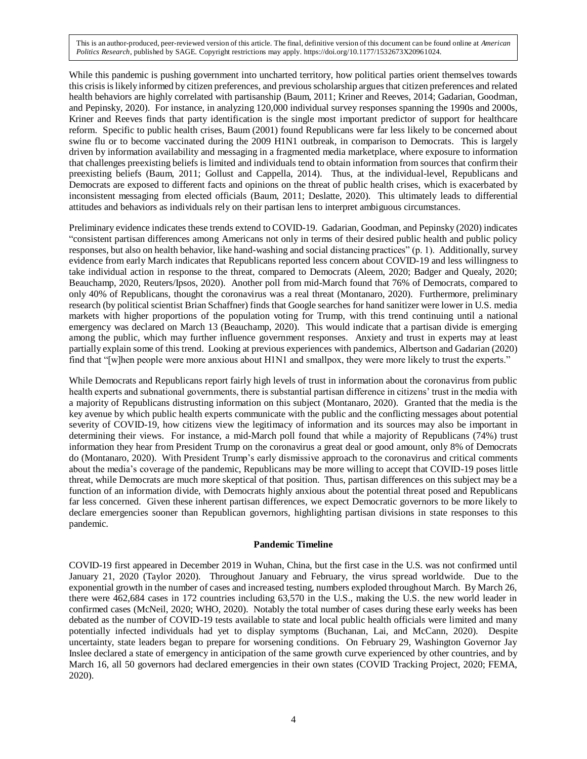While this pandemic is pushing government into uncharted territory, how political parties orient themselves towards this crisis is likely informed by citizen preferences, and previous scholarship argues that citizen preferences and related health behaviors are highly correlated with partisanship (Baum, 2011; Kriner and Reeves, 2014; Gadarian, Goodman, and Pepinsky, 2020). For instance, in analyzing 120,000 individual survey responses spanning the 1990s and 2000s, Kriner and Reeves finds that party identification is the single most important predictor of support for healthcare reform. Specific to public health crises, Baum (2001) found Republicans were far less likely to be concerned about swine flu or to become vaccinated during the 2009 H1N1 outbreak, in comparison to Democrats. This is largely driven by information availability and messaging in a fragmented media marketplace, where exposure to information that challenges preexisting beliefs is limited and individuals tend to obtain information from sources that confirm their preexisting beliefs (Baum, 2011; Gollust and Cappella, 2014). Thus, at the individual-level, Republicans and Democrats are exposed to different facts and opinions on the threat of public health crises, which is exacerbated by inconsistent messaging from elected officials (Baum, 2011; Deslatte, 2020). This ultimately leads to differential attitudes and behaviors as individuals rely on their partisan lens to interpret ambiguous circumstances.

Preliminary evidence indicates these trends extend to COVID-19. Gadarian, Goodman, and Pepinsky (2020) indicates "consistent partisan differences among Americans not only in terms of their desired public health and public policy responses, but also on health behavior, like hand-washing and social distancing practices" (p. 1). Additionally, survey evidence from early March indicates that Republicans reported less concern about COVID-19 and less willingness to take individual action in response to the threat, compared to Democrats (Aleem, 2020; Badger and Quealy, 2020; Beauchamp, 2020, Reuters/Ipsos, 2020). Another poll from mid-March found that 76% of Democrats, compared to only 40% of Republicans, thought the coronavirus was a real threat (Montanaro, 2020). Furthermore, preliminary research (by political scientist Brian Schaffner) finds that Google searches for hand sanitizer were lower in U.S. media markets with higher proportions of the population voting for Trump, with this trend continuing until a national emergency was declared on March 13 (Beauchamp, 2020). This would indicate that a partisan divide is emerging among the public, which may further influence government responses. Anxiety and trust in experts may at least partially explain some of this trend. Looking at previous experiences with pandemics, Albertson and Gadarian (2020) find that "[w]hen people were more anxious about H1N1 and smallpox, they were more likely to trust the experts."

While Democrats and Republicans report fairly high levels of trust in information about the coronavirus from public health experts and subnational governments, there is substantial partisan difference in citizens' trust in the media with a majority of Republicans distrusting information on this subject (Montanaro, 2020). Granted that the media is the key avenue by which public health experts communicate with the public and the conflicting messages about potential severity of COVID-19, how citizens view the legitimacy of information and its sources may also be important in determining their views. For instance, a mid-March poll found that while a majority of Republicans (74%) trust information they hear from President Trump on the coronavirus a great deal or good amount, only 8% of Democrats do (Montanaro, 2020). With President Trump's early dismissive approach to the coronavirus and critical comments about the media's coverage of the pandemic, Republicans may be more willing to accept that COVID-19 poses little threat, while Democrats are much more skeptical of that position. Thus, partisan differences on this subject may be a function of an information divide, with Democrats highly anxious about the potential threat posed and Republicans far less concerned. Given these inherent partisan differences, we expect Democratic governors to be more likely to declare emergencies sooner than Republican governors, highlighting partisan divisions in state responses to this pandemic.

#### **Pandemic Timeline**

COVID-19 first appeared in December 2019 in Wuhan, China, but the first case in the U.S. was not confirmed until January 21, 2020 (Taylor 2020). Throughout January and February, the virus spread worldwide. Due to the exponential growth in the number of cases and increased testing, numbers exploded throughout March. By March 26, there were 462,684 cases in 172 countries including 63,570 in the U.S., making the U.S. the new world leader in confirmed cases (McNeil, 2020; WHO, 2020). Notably the total number of cases during these early weeks has been debated as the number of COVID-19 tests available to state and local public health officials were limited and many potentially infected individuals had yet to display symptoms (Buchanan, Lai, and McCann, 2020). Despite uncertainty, state leaders began to prepare for worsening conditions. On February 29, Washington Governor Jay Inslee declared a state of emergency in anticipation of the same growth curve experienced by other countries, and by March 16, all 50 governors had declared emergencies in their own states (COVID Tracking Project, 2020; FEMA, 2020).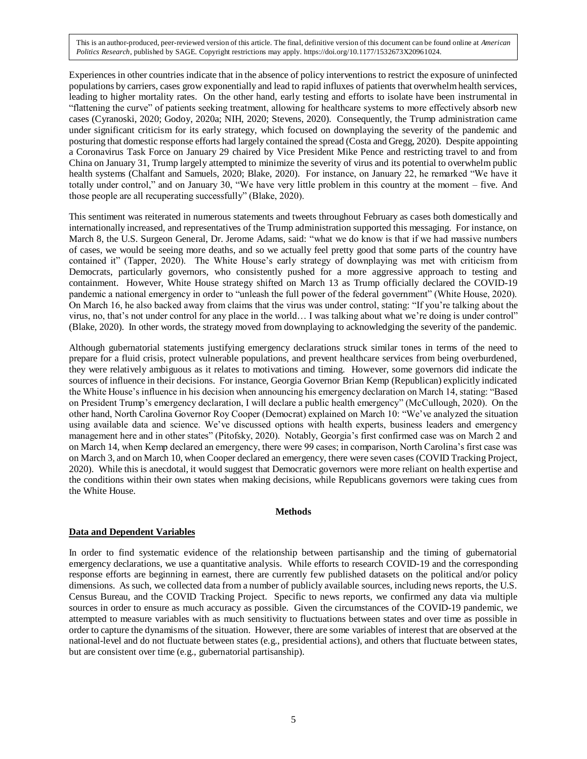Experiences in other countries indicate that in the absence of policy interventions to restrict the exposure of uninfected populations by carriers, cases grow exponentially and lead to rapid influxes of patients that overwhelm health services, leading to higher mortality rates. On the other hand, early testing and efforts to isolate have been instrumental in "flattening the curve" of patients seeking treatment, allowing for healthcare systems to more effectively absorb new cases (Cyranoski, 2020; Godoy, 2020a; NIH, 2020; Stevens, 2020). Consequently, the Trump administration came under significant criticism for its early strategy, which focused on downplaying the severity of the pandemic and posturing that domestic response efforts had largely contained the spread (Costa and Gregg, 2020). Despite appointing a Coronavirus Task Force on January 29 chaired by Vice President Mike Pence and restricting travel to and from China on January 31, Trump largely attempted to minimize the severity of virus and its potential to overwhelm public health systems (Chalfant and Samuels, 2020; Blake, 2020). For instance, on January 22, he remarked "We have it totally under control," and on January 30, "We have very little problem in this country at the moment – five. And those people are all recuperating successfully" (Blake, 2020).

This sentiment was reiterated in numerous statements and tweets throughout February as cases both domestically and internationally increased, and representatives of the Trump administration supported this messaging. For instance, on March 8, the U.S. Surgeon General, Dr. Jerome Adams, said: "what we do know is that if we had massive numbers of cases, we would be seeing more deaths, and so we actually feel pretty good that some parts of the country have contained it" (Tapper, 2020). The White House's early strategy of downplaying was met with criticism from Democrats, particularly governors, who consistently pushed for a more aggressive approach to testing and containment. However, White House strategy shifted on March 13 as Trump officially declared the COVID-19 pandemic a national emergency in order to "unleash the full power of the federal government" (White House, 2020). On March 16, he also backed away from claims that the virus was under control, stating: "If you're talking about the virus, no, that's not under control for any place in the world… I was talking about what we're doing is under control" (Blake, 2020). In other words, the strategy moved from downplaying to acknowledging the severity of the pandemic.

Although gubernatorial statements justifying emergency declarations struck similar tones in terms of the need to prepare for a fluid crisis, protect vulnerable populations, and prevent healthcare services from being overburdened, they were relatively ambiguous as it relates to motivations and timing. However, some governors did indicate the sources of influence in their decisions. For instance, Georgia Governor Brian Kemp (Republican) explicitly indicated the White House's influence in his decision when announcing his emergency declaration on March 14, stating: "Based on President Trump's emergency declaration, I will declare a public health emergency" (McCullough, 2020). On the other hand, North Carolina Governor Roy Cooper (Democrat) explained on March 10: "We've analyzed the situation using available data and science. We've discussed options with health experts, business leaders and emergency management here and in other states" (Pitofsky, 2020). Notably, Georgia's first confirmed case was on March 2 and on March 14, when Kemp declared an emergency, there were 99 cases; in comparison, North Carolina's first case was on March 3, and on March 10, when Cooper declared an emergency, there were seven cases (COVID Tracking Project, 2020). While this is anecdotal, it would suggest that Democratic governors were more reliant on health expertise and the conditions within their own states when making decisions, while Republicans governors were taking cues from the White House.

#### **Methods**

#### **Data and Dependent Variables**

In order to find systematic evidence of the relationship between partisanship and the timing of gubernatorial emergency declarations, we use a quantitative analysis. While efforts to research COVID-19 and the corresponding response efforts are beginning in earnest, there are currently few published datasets on the political and/or policy dimensions. As such, we collected data from a number of publicly available sources, including news reports, the U.S. Census Bureau, and the COVID Tracking Project. Specific to news reports, we confirmed any data via multiple sources in order to ensure as much accuracy as possible. Given the circumstances of the COVID-19 pandemic, we attempted to measure variables with as much sensitivity to fluctuations between states and over time as possible in order to capture the dynamisms of the situation. However, there are some variables of interest that are observed at the national-level and do not fluctuate between states (e.g., presidential actions), and others that fluctuate between states, but are consistent over time (e.g., gubernatorial partisanship).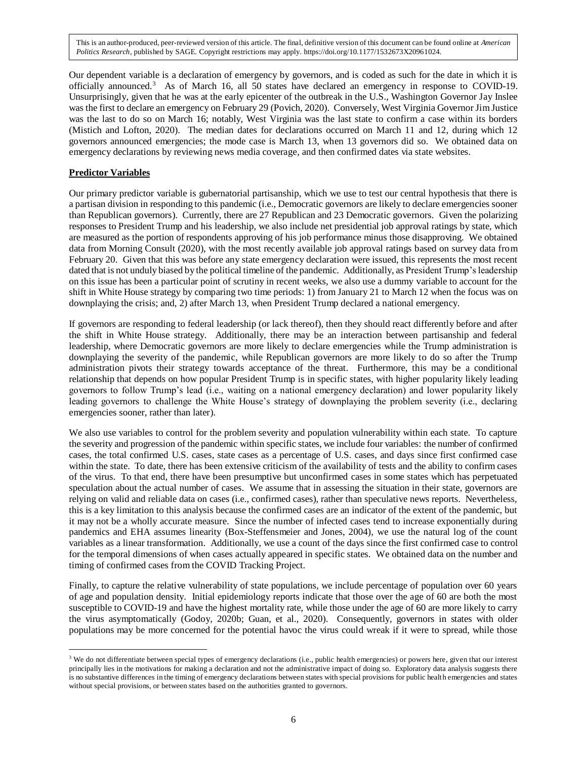Our dependent variable is a declaration of emergency by governors, and is coded as such for the date in which it is officially announced.<sup>3</sup> As of March 16, all 50 states have declared an emergency in response to COVID-19. Unsurprisingly, given that he was at the early epicenter of the outbreak in the U.S., Washington Governor Jay Inslee was the first to declare an emergency on February 29 (Povich, 2020). Conversely, West Virginia Governor Jim Justice was the last to do so on March 16; notably, West Virginia was the last state to confirm a case within its borders (Mistich and Lofton, 2020). The median dates for declarations occurred on March 11 and 12, during which 12 governors announced emergencies; the mode case is March 13, when 13 governors did so. We obtained data on emergency declarations by reviewing news media coverage, and then confirmed dates via state websites.

### **Predictor Variables**

l

Our primary predictor variable is gubernatorial partisanship, which we use to test our central hypothesis that there is a partisan division in responding to this pandemic (i.e., Democratic governors are likely to declare emergencies sooner than Republican governors). Currently, there are 27 Republican and 23 Democratic governors. Given the polarizing responses to President Trump and his leadership, we also include net presidential job approval ratings by state, which are measured as the portion of respondents approving of his job performance minus those disapproving. We obtained data from Morning Consult (2020), with the most recently available job approval ratings based on survey data from February 20. Given that this was before any state emergency declaration were issued, this represents the most recent dated that is not unduly biased by the political timeline of the pandemic. Additionally, as President Trump's leadership on this issue has been a particular point of scrutiny in recent weeks, we also use a dummy variable to account for the shift in White House strategy by comparing two time periods: 1) from January 21 to March 12 when the focus was on downplaying the crisis; and, 2) after March 13, when President Trump declared a national emergency.

If governors are responding to federal leadership (or lack thereof), then they should react differently before and after the shift in White House strategy. Additionally, there may be an interaction between partisanship and federal leadership, where Democratic governors are more likely to declare emergencies while the Trump administration is downplaying the severity of the pandemic, while Republican governors are more likely to do so after the Trump administration pivots their strategy towards acceptance of the threat. Furthermore, this may be a conditional relationship that depends on how popular President Trump is in specific states, with higher popularity likely leading governors to follow Trump's lead (i.e., waiting on a national emergency declaration) and lower popularity likely leading governors to challenge the White House's strategy of downplaying the problem severity (i.e., declaring emergencies sooner, rather than later).

We also use variables to control for the problem severity and population vulnerability within each state. To capture the severity and progression of the pandemic within specific states, we include four variables: the number of confirmed cases, the total confirmed U.S. cases, state cases as a percentage of U.S. cases, and days since first confirmed case within the state. To date, there has been extensive criticism of the availability of tests and the ability to confirm cases of the virus. To that end, there have been presumptive but unconfirmed cases in some states which has perpetuated speculation about the actual number of cases. We assume that in assessing the situation in their state, governors are relying on valid and reliable data on cases (i.e., confirmed cases), rather than speculative news reports. Nevertheless, this is a key limitation to this analysis because the confirmed cases are an indicator of the extent of the pandemic, but it may not be a wholly accurate measure. Since the number of infected cases tend to increase exponentially during pandemics and EHA assumes linearity (Box-Steffensmeier and Jones, 2004), we use the natural log of the count variables as a linear transformation. Additionally, we use a count of the days since the first confirmed case to control for the temporal dimensions of when cases actually appeared in specific states. We obtained data on the number and timing of confirmed cases from the COVID Tracking Project.

Finally, to capture the relative vulnerability of state populations, we include percentage of population over 60 years of age and population density. Initial epidemiology reports indicate that those over the age of 60 are both the most susceptible to COVID-19 and have the highest mortality rate, while those under the age of 60 are more likely to carry the virus asymptomatically (Godoy, 2020b; Guan, et al., 2020). Consequently, governors in states with older populations may be more concerned for the potential havoc the virus could wreak if it were to spread, while those

<sup>&</sup>lt;sup>3</sup> We do not differentiate between special types of emergency declarations (i.e., public health emergencies) or powers here, given that our interest principally lies in the motivations for making a declaration and not the administrative impact of doing so. Exploratory data analysis suggests there is no substantive differences in the timing of emergency declarations between states with special provisions for public health emergencies and states without special provisions, or between states based on the authorities granted to governors.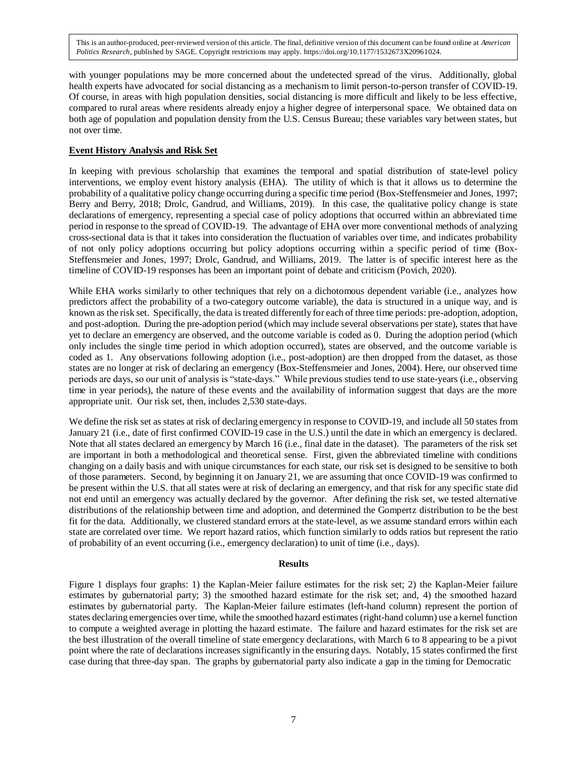with younger populations may be more concerned about the undetected spread of the virus. Additionally, global health experts have advocated for social distancing as a mechanism to limit person-to-person transfer of COVID-19. Of course, in areas with high population densities, social distancing is more difficult and likely to be less effective, compared to rural areas where residents already enjoy a higher degree of interpersonal space. We obtained data on both age of population and population density from the U.S. Census Bureau; these variables vary between states, but not over time.

#### **Event History Analysis and Risk Set**

In keeping with previous scholarship that examines the temporal and spatial distribution of state-level policy interventions, we employ event history analysis (EHA). The utility of which is that it allows us to determine the probability of a qualitative policy change occurring during a specific time period (Box-Steffensmeier and Jones, 1997; Berry and Berry, 2018; Drolc, Gandrud, and Williams, 2019). In this case, the qualitative policy change is state declarations of emergency, representing a special case of policy adoptions that occurred within an abbreviated time period in response to the spread of COVID-19. The advantage of EHA over more conventional methods of analyzing cross-sectional data is that it takes into consideration the fluctuation of variables over time, and indicates probability of not only policy adoptions occurring but policy adoptions occurring within a specific period of time (Box-Steffensmeier and Jones, 1997; Drolc, Gandrud, and Williams, 2019. The latter is of specific interest here as the timeline of COVID-19 responses has been an important point of debate and criticism (Povich, 2020).

While EHA works similarly to other techniques that rely on a dichotomous dependent variable (i.e., analyzes how predictors affect the probability of a two-category outcome variable), the data is structured in a unique way, and is known as the risk set. Specifically, the data is treated differently for each of three time periods: pre-adoption, adoption, and post-adoption. During the pre-adoption period (which may include several observations per state), states that have yet to declare an emergency are observed, and the outcome variable is coded as 0. During the adoption period (which only includes the single time period in which adoption occurred), states are observed, and the outcome variable is coded as 1. Any observations following adoption (i.e., post-adoption) are then dropped from the dataset, as those states are no longer at risk of declaring an emergency (Box-Steffensmeier and Jones, 2004). Here, our observed time periods are days, so our unit of analysis is "state-days." While previous studies tend to use state-years (i.e., observing time in year periods), the nature of these events and the availability of information suggest that days are the more appropriate unit. Our risk set, then, includes 2,530 state-days.

We define the risk set as states at risk of declaring emergency in response to COVID-19, and include all 50 states from January 21 (i.e., date of first confirmed COVID-19 case in the U.S.) until the date in which an emergency is declared. Note that all states declared an emergency by March 16 (i.e., final date in the dataset). The parameters of the risk set are important in both a methodological and theoretical sense. First, given the abbreviated timeline with conditions changing on a daily basis and with unique circumstances for each state, our risk set is designed to be sensitive to both of those parameters. Second, by beginning it on January 21, we are assuming that once COVID-19 was confirmed to be present within the U.S. that all states were at risk of declaring an emergency, and that risk for any specific state did not end until an emergency was actually declared by the governor. After defining the risk set, we tested alternative distributions of the relationship between time and adoption, and determined the Gompertz distribution to be the best fit for the data. Additionally, we clustered standard errors at the state-level, as we assume standard errors within each state are correlated over time. We report hazard ratios, which function similarly to odds ratios but represent the ratio of probability of an event occurring (i.e., emergency declaration) to unit of time (i.e., days).

#### **Results**

Figure 1 displays four graphs: 1) the Kaplan-Meier failure estimates for the risk set; 2) the Kaplan-Meier failure estimates by gubernatorial party; 3) the smoothed hazard estimate for the risk set; and, 4) the smoothed hazard estimates by gubernatorial party. The Kaplan-Meier failure estimates (left-hand column) represent the portion of states declaring emergencies over time, while the smoothed hazard estimates (right-hand column) use a kernel function to compute a weighted average in plotting the hazard estimate. The failure and hazard estimates for the risk set are the best illustration of the overall timeline of state emergency declarations, with March 6 to 8 appearing to be a pivot point where the rate of declarations increases significantly in the ensuring days. Notably, 15 states confirmed the first case during that three-day span. The graphs by gubernatorial party also indicate a gap in the timing for Democratic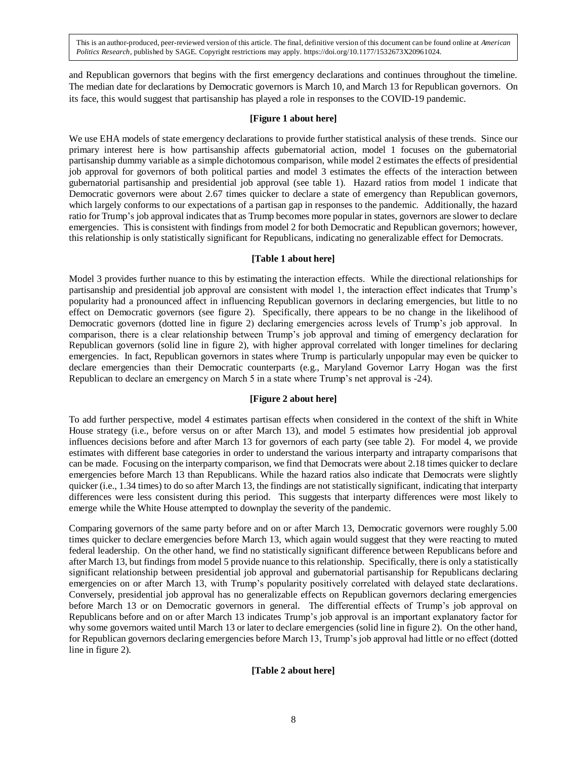and Republican governors that begins with the first emergency declarations and continues throughout the timeline. The median date for declarations by Democratic governors is March 10, and March 13 for Republican governors. On its face, this would suggest that partisanship has played a role in responses to the COVID-19 pandemic.

# **[Figure 1 about here]**

We use EHA models of state emergency declarations to provide further statistical analysis of these trends. Since our primary interest here is how partisanship affects gubernatorial action, model 1 focuses on the gubernatorial partisanship dummy variable as a simple dichotomous comparison, while model 2 estimates the effects of presidential job approval for governors of both political parties and model 3 estimates the effects of the interaction between gubernatorial partisanship and presidential job approval (see table 1). Hazard ratios from model 1 indicate that Democratic governors were about 2.67 times quicker to declare a state of emergency than Republican governors, which largely conforms to our expectations of a partisan gap in responses to the pandemic. Additionally, the hazard ratio for Trump's job approval indicates that as Trump becomes more popular in states, governors are slower to declare emergencies. This is consistent with findings from model 2 for both Democratic and Republican governors; however, this relationship is only statistically significant for Republicans, indicating no generalizable effect for Democrats.

# **[Table 1 about here]**

Model 3 provides further nuance to this by estimating the interaction effects. While the directional relationships for partisanship and presidential job approval are consistent with model 1, the interaction effect indicates that Trump's popularity had a pronounced affect in influencing Republican governors in declaring emergencies, but little to no effect on Democratic governors (see figure 2). Specifically, there appears to be no change in the likelihood of Democratic governors (dotted line in figure 2) declaring emergencies across levels of Trump's job approval. In comparison, there is a clear relationship between Trump's job approval and timing of emergency declaration for Republican governors (solid line in figure 2), with higher approval correlated with longer timelines for declaring emergencies. In fact, Republican governors in states where Trump is particularly unpopular may even be quicker to declare emergencies than their Democratic counterparts (e.g., Maryland Governor Larry Hogan was the first Republican to declare an emergency on March 5 in a state where Trump's net approval is -24).

# **[Figure 2 about here]**

To add further perspective, model 4 estimates partisan effects when considered in the context of the shift in White House strategy (i.e., before versus on or after March 13), and model 5 estimates how presidential job approval influences decisions before and after March 13 for governors of each party (see table 2). For model 4, we provide estimates with different base categories in order to understand the various interparty and intraparty comparisons that can be made. Focusing on the interparty comparison, we find that Democrats were about 2.18 times quicker to declare emergencies before March 13 than Republicans. While the hazard ratios also indicate that Democrats were slightly quicker (i.e., 1.34 times) to do so after March 13, the findings are not statistically significant, indicating that interparty differences were less consistent during this period. This suggests that interparty differences were most likely to emerge while the White House attempted to downplay the severity of the pandemic.

Comparing governors of the same party before and on or after March 13, Democratic governors were roughly 5.00 times quicker to declare emergencies before March 13, which again would suggest that they were reacting to muted federal leadership. On the other hand, we find no statistically significant difference between Republicans before and after March 13, but findings from model 5 provide nuance to this relationship. Specifically, there is only a statistically significant relationship between presidential job approval and gubernatorial partisanship for Republicans declaring emergencies on or after March 13, with Trump's popularity positively correlated with delayed state declarations. Conversely, presidential job approval has no generalizable effects on Republican governors declaring emergencies before March 13 or on Democratic governors in general. The differential effects of Trump's job approval on Republicans before and on or after March 13 indicates Trump's job approval is an important explanatory factor for why some governors waited until March 13 or later to declare emergencies (solid line in figure 2). On the other hand, for Republican governors declaring emergencies before March 13, Trump's job approval had little or no effect (dotted line in figure 2).

# **[Table 2 about here]**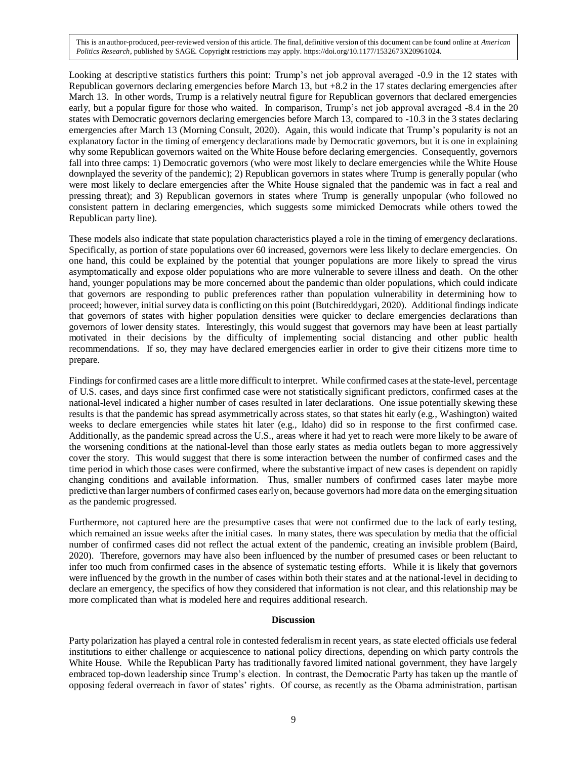Looking at descriptive statistics furthers this point: Trump's net job approval averaged -0.9 in the 12 states with Republican governors declaring emergencies before March 13, but +8.2 in the 17 states declaring emergencies after March 13. In other words, Trump is a relatively neutral figure for Republican governors that declared emergencies early, but a popular figure for those who waited. In comparison, Trump's net job approval averaged -8.4 in the 20 states with Democratic governors declaring emergencies before March 13, compared to -10.3 in the 3 states declaring emergencies after March 13 (Morning Consult, 2020). Again, this would indicate that Trump's popularity is not an explanatory factor in the timing of emergency declarations made by Democratic governors, but it is one in explaining why some Republican governors waited on the White House before declaring emergencies. Consequently, governors fall into three camps: 1) Democratic governors (who were most likely to declare emergencies while the White House downplayed the severity of the pandemic); 2) Republican governors in states where Trump is generally popular (who were most likely to declare emergencies after the White House signaled that the pandemic was in fact a real and pressing threat); and 3) Republican governors in states where Trump is generally unpopular (who followed no consistent pattern in declaring emergencies, which suggests some mimicked Democrats while others towed the Republican party line).

These models also indicate that state population characteristics played a role in the timing of emergency declarations. Specifically, as portion of state populations over 60 increased, governors were less likely to declare emergencies. On one hand, this could be explained by the potential that younger populations are more likely to spread the virus asymptomatically and expose older populations who are more vulnerable to severe illness and death. On the other hand, younger populations may be more concerned about the pandemic than older populations, which could indicate that governors are responding to public preferences rather than population vulnerability in determining how to proceed; however, initial survey data is conflicting on this point (Butchireddygari, 2020). Additional findings indicate that governors of states with higher population densities were quicker to declare emergencies declarations than governors of lower density states. Interestingly, this would suggest that governors may have been at least partially motivated in their decisions by the difficulty of implementing social distancing and other public health recommendations. If so, they may have declared emergencies earlier in order to give their citizens more time to prepare.

Findings for confirmed cases are a little more difficult to interpret. While confirmed cases at the state-level, percentage of U.S. cases, and days since first confirmed case were not statistically significant predictors, confirmed cases at the national-level indicated a higher number of cases resulted in later declarations. One issue potentially skewing these results is that the pandemic has spread asymmetrically across states, so that states hit early (e.g., Washington) waited weeks to declare emergencies while states hit later (e.g., Idaho) did so in response to the first confirmed case. Additionally, as the pandemic spread across the U.S., areas where it had yet to reach were more likely to be aware of the worsening conditions at the national-level than those early states as media outlets began to more aggressively cover the story. This would suggest that there is some interaction between the number of confirmed cases and the time period in which those cases were confirmed, where the substantive impact of new cases is dependent on rapidly changing conditions and available information. Thus, smaller numbers of confirmed cases later maybe more predictive than larger numbers of confirmed cases early on, because governors had more data on the emerging situation as the pandemic progressed.

Furthermore, not captured here are the presumptive cases that were not confirmed due to the lack of early testing, which remained an issue weeks after the initial cases. In many states, there was speculation by media that the official number of confirmed cases did not reflect the actual extent of the pandemic, creating an invisible problem (Baird, 2020). Therefore, governors may have also been influenced by the number of presumed cases or been reluctant to infer too much from confirmed cases in the absence of systematic testing efforts. While it is likely that governors were influenced by the growth in the number of cases within both their states and at the national-level in deciding to declare an emergency, the specifics of how they considered that information is not clear, and this relationship may be more complicated than what is modeled here and requires additional research.

#### **Discussion**

Party polarization has played a central role in contested federalism in recent years, as state elected officials use federal institutions to either challenge or acquiescence to national policy directions, depending on which party controls the White House. While the Republican Party has traditionally favored limited national government, they have largely embraced top-down leadership since Trump's election. In contrast, the Democratic Party has taken up the mantle of opposing federal overreach in favor of states' rights. Of course, as recently as the Obama administration, partisan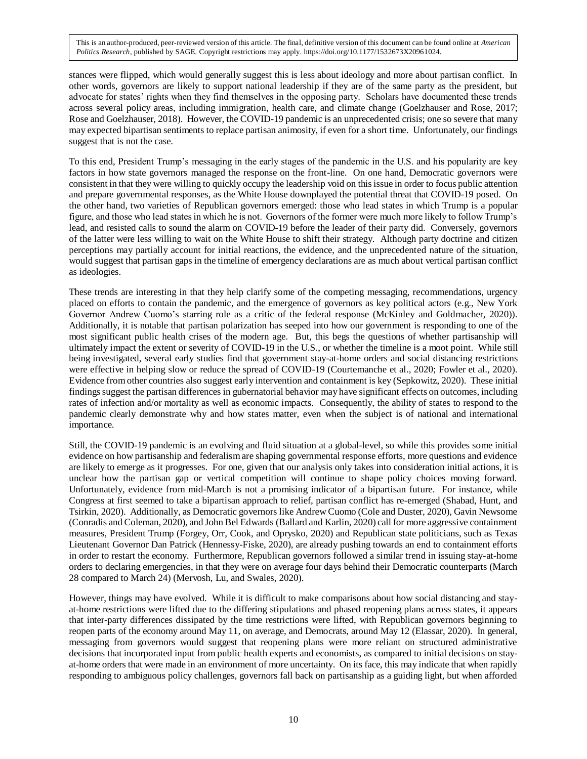stances were flipped, which would generally suggest this is less about ideology and more about partisan conflict. In other words, governors are likely to support national leadership if they are of the same party as the president, but advocate for states' rights when they find themselves in the opposing party. Scholars have documented these trends across several policy areas, including immigration, health care, and climate change (Goelzhauser and Rose, 2017; Rose and Goelzhauser, 2018). However, the COVID-19 pandemic is an unprecedented crisis; one so severe that many may expected bipartisan sentiments to replace partisan animosity, if even for a short time. Unfortunately, our findings suggest that is not the case.

To this end, President Trump's messaging in the early stages of the pandemic in the U.S. and his popularity are key factors in how state governors managed the response on the front-line. On one hand, Democratic governors were consistent in that they were willing to quickly occupy the leadership void on this issue in order to focus public attention and prepare governmental responses, as the White House downplayed the potential threat that COVID-19 posed. On the other hand, two varieties of Republican governors emerged: those who lead states in which Trump is a popular figure, and those who lead states in which he is not. Governors of the former were much more likely to follow Trump's lead, and resisted calls to sound the alarm on COVID-19 before the leader of their party did. Conversely, governors of the latter were less willing to wait on the White House to shift their strategy. Although party doctrine and citizen perceptions may partially account for initial reactions, the evidence, and the unprecedented nature of the situation, would suggest that partisan gaps in the timeline of emergency declarations are as much about vertical partisan conflict as ideologies.

These trends are interesting in that they help clarify some of the competing messaging, recommendations, urgency placed on efforts to contain the pandemic, and the emergence of governors as key political actors (e.g., New York Governor Andrew Cuomo's starring role as a critic of the federal response (McKinley and Goldmacher, 2020)). Additionally, it is notable that partisan polarization has seeped into how our government is responding to one of the most significant public health crises of the modern age. But, this begs the questions of whether partisanship will ultimately impact the extent or severity of COVID-19 in the U.S., or whether the timeline is a moot point. While still being investigated, several early studies find that government stay-at-home orders and social distancing restrictions were effective in helping slow or reduce the spread of COVID-19 (Courtemanche et al., 2020; Fowler et al., 2020). Evidence from other countries also suggest early intervention and containment is key (Sepkowitz, 2020). These initial findings suggest the partisan differences in gubernatorial behavior may have significant effects on outcomes, including rates of infection and/or mortality as well as economic impacts. Consequently, the ability of states to respond to the pandemic clearly demonstrate why and how states matter, even when the subject is of national and international importance.

Still, the COVID-19 pandemic is an evolving and fluid situation at a global-level, so while this provides some initial evidence on how partisanship and federalism are shaping governmental response efforts, more questions and evidence are likely to emerge as it progresses. For one, given that our analysis only takes into consideration initial actions, it is unclear how the partisan gap or vertical competition will continue to shape policy choices moving forward. Unfortunately, evidence from mid-March is not a promising indicator of a bipartisan future. For instance, while Congress at first seemed to take a bipartisan approach to relief, partisan conflict has re-emerged (Shabad, Hunt, and Tsirkin, 2020). Additionally, as Democratic governors like Andrew Cuomo (Cole and Duster, 2020), Gavin Newsome (Conradis and Coleman, 2020), and John Bel Edwards (Ballard and Karlin, 2020) call for more aggressive containment measures, President Trump (Forgey, Orr, Cook, and Oprysko, 2020) and Republican state politicians, such as Texas Lieutenant Governor Dan Patrick (Hennessy-Fiske, 2020), are already pushing towards an end to containment efforts in order to restart the economy. Furthermore, Republican governors followed a similar trend in issuing stay-at-home orders to declaring emergencies, in that they were on average four days behind their Democratic counterparts (March 28 compared to March 24) (Mervosh, Lu, and Swales, 2020).

However, things may have evolved. While it is difficult to make comparisons about how social distancing and stayat-home restrictions were lifted due to the differing stipulations and phased reopening plans across states, it appears that inter-party differences dissipated by the time restrictions were lifted, with Republican governors beginning to reopen parts of the economy around May 11, on average, and Democrats, around May 12 (Elassar, 2020). In general, messaging from governors would suggest that reopening plans were more reliant on structured administrative decisions that incorporated input from public health experts and economists, as compared to initial decisions on stayat-home orders that were made in an environment of more uncertainty. On its face, this may indicate that when rapidly responding to ambiguous policy challenges, governors fall back on partisanship as a guiding light, but when afforded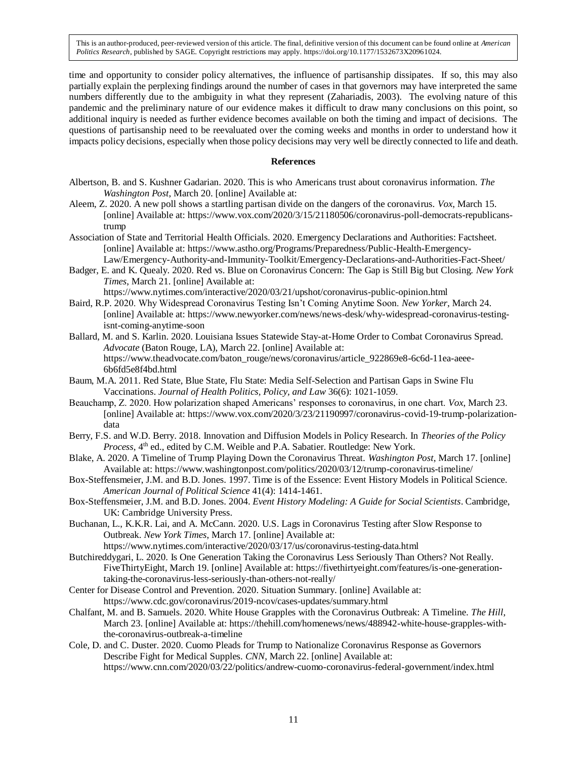time and opportunity to consider policy alternatives, the influence of partisanship dissipates. If so, this may also partially explain the perplexing findings around the number of cases in that governors may have interpreted the same numbers differently due to the ambiguity in what they represent (Zahariadis, 2003). The evolving nature of this pandemic and the preliminary nature of our evidence makes it difficult to draw many conclusions on this point, so additional inquiry is needed as further evidence becomes available on both the timing and impact of decisions. The questions of partisanship need to be reevaluated over the coming weeks and months in order to understand how it impacts policy decisions, especially when those policy decisions may very well be directly connected to life and death.

#### **References**

- Albertson, B. and S. Kushner Gadarian. 2020. This is who Americans trust about coronavirus information. *The Washington Post*, March 20. [online] Available at:
- Aleem, Z. 2020. A new poll shows a startling partisan divide on the dangers of the coronavirus. *Vox*, March 15. [online] Available at: https://www.vox.com/2020/3/15/21180506/coronavirus-poll-democrats-republicanstrump
- Association of State and Territorial Health Officials. 2020. Emergency Declarations and Authorities: Factsheet. [online] Available at: https://www.astho.org/Programs/Preparedness/Public-Health-Emergency-Law/Emergency-Authority-and-Immunity-Toolkit/Emergency-Declarations-and-Authorities-Fact-Sheet/
- Badger, E. and K. Quealy. 2020. Red vs. Blue on Coronavirus Concern: The Gap is Still Big but Closing. *New York Times*, March 21. [online] Available at:

https://www.nytimes.com/interactive/2020/03/21/upshot/coronavirus-public-opinion.html

- Baird, R.P. 2020. Why Widespread Coronavirus Testing Isn't Coming Anytime Soon. *New Yorker*, March 24. [online] Available at: https://www.newyorker.com/news/news-desk/why-widespread-coronavirus-testingisnt-coming-anytime-soon
- Ballard, M. and S. Karlin. 2020. Louisiana Issues Statewide Stay-at-Home Order to Combat Coronavirus Spread. *Advocate* (Baton Rouge, LA), March 22. [online] Available at: https://www.theadvocate.com/baton\_rouge/news/coronavirus/article\_922869e8-6c6d-11ea-aeee-6b6fd5e8f4bd.html
- Baum, M.A. 2011. Red State, Blue State, Flu State: Media Self-Selection and Partisan Gaps in Swine Flu Vaccinations. *Journal of Health Politics, Policy, and Law* 36(6): 1021-1059.
- Beauchamp, Z. 2020. How polarization shaped Americans' responses to coronavirus, in one chart. *Vox*, March 23. [online] Available at: https://www.vox.com/2020/3/23/21190997/coronavirus-covid-19-trump-polarizationdata
- Berry, F.S. and W.D. Berry. 2018. Innovation and Diffusion Models in Policy Research. In *Theories of the Policy*  Process, 4<sup>th</sup> ed., edited by C.M. Weible and P.A. Sabatier. Routledge: New York.
- Blake, A. 2020. A Timeline of Trump Playing Down the Coronavirus Threat. *Washington Post*, March 17. [online] Available at: https://www.washingtonpost.com/politics/2020/03/12/trump-coronavirus-timeline/
- Box-Steffensmeier, J.M. and B.D. Jones. 1997. Time is of the Essence: Event History Models in Political Science. *American Journal of Political Science* 41(4): 1414-1461.
- Box-Steffensmeier, J.M. and B.D. Jones. 2004. *Event History Modeling: A Guide for Social Scientists*. Cambridge, UK: Cambridge University Press.
- Buchanan, L., K.K.R. Lai, and A. McCann. 2020. U.S. Lags in Coronavirus Testing after Slow Response to Outbreak. *New York Times*, March 17. [online] Available at: https://www.nytimes.com/interactive/2020/03/17/us/coronavirus-testing-data.html
- Butchireddygari, L. 2020. Is One Generation Taking the Coronavirus Less Seriously Than Others? Not Really. FiveThirtyEight, March 19. [online] Available at: https://fivethirtyeight.com/features/is-one-generationtaking-the-coronavirus-less-seriously-than-others-not-really/
- Center for Disease Control and Prevention. 2020. Situation Summary. [online] Available at: https://www.cdc.gov/coronavirus/2019-ncov/cases-updates/summary.html
- Chalfant, M. and B. Samuels. 2020. White House Grapples with the Coronavirus Outbreak: A Timeline. *The Hill*, March 23. [online] Available at: https://thehill.com/homenews/news/488942-white-house-grapples-withthe-coronavirus-outbreak-a-timeline
- Cole, D. and C. Duster. 2020. Cuomo Pleads for Trump to Nationalize Coronavirus Response as Governors Describe Fight for Medical Supples. *CNN*, March 22. [online] Available at: https://www.cnn.com/2020/03/22/politics/andrew-cuomo-coronavirus-federal-government/index.html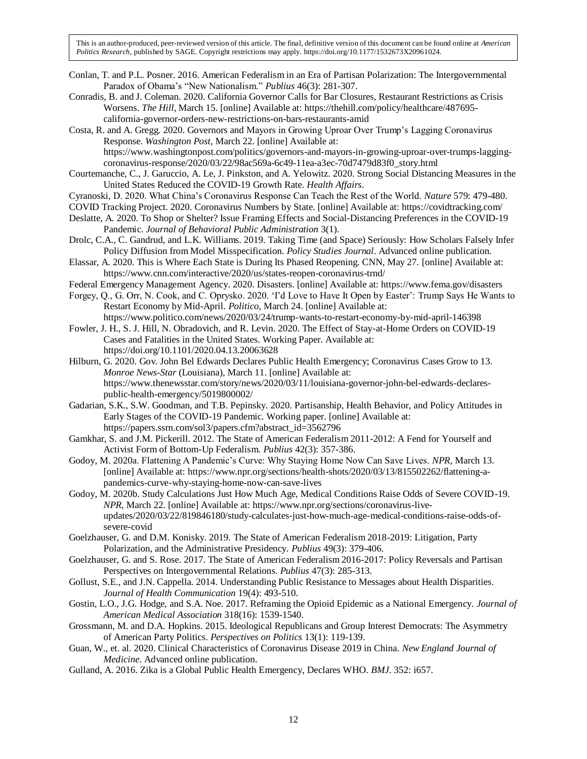- Conlan, T. and P.L. Posner. 2016. American Federalism in an Era of Partisan Polarization: The Intergovernmental Paradox of Obama's "New Nationalism." *Publius* 46(3): 281-307.
- Conradis, B. and J. Coleman. 2020. California Governor Calls for Bar Closures, Restaurant Restrictions as Crisis Worsens. *The Hill*, March 15. [online] Available at: https://thehill.com/policy/healthcare/487695 california-governor-orders-new-restrictions-on-bars-restaurants-amid

Costa, R. and A. Gregg. 2020. Governors and Mayors in Growing Uproar Over Trump's Lagging Coronavirus Response. *Washington Post*, March 22. [online] Available at: https://www.washingtonpost.com/politics/governors-and-mayors-in-growing-uproar-over-trumps-laggingcoronavirus-response/2020/03/22/98ac569a-6c49-11ea-a3ec-70d7479d83f0\_story.html

- Courtemanche, C., J. Garuccio, A. Le, J. Pinkston, and A. Yelowitz. 2020. Strong Social Distancing Measures in the United States Reduced the COVID-19 Growth Rate. *Health Affairs*.
- Cyranoski, D. 2020. What China's Coronavirus Response Can Teach the Rest of the World. *Nature* 579: 479-480.
- COVID Tracking Project. 2020. Coronavirus Numbers by State. [online] Available at: https://covidtracking.com/
- Deslatte, A. 2020. To Shop or Shelter? Issue Framing Effects and Social-Distancing Preferences in the COVID-19 Pandemic. *Journal of Behavioral Public Administration* 3(1).
- Drolc, C.A., C. Gandrud, and L.K. Williams. 2019. Taking Time (and Space) Seriously: How Scholars Falsely Infer Policy Diffusion from Model Misspecification. *Policy Studies Journal*. Advanced online publication.
- Elassar, A. 2020. This is Where Each State is During Its Phased Reopening. CNN, May 27. [online] Available at: https://www.cnn.com/interactive/2020/us/states-reopen-coronavirus-trnd/
- Federal Emergency Management Agency. 2020. Disasters. [online] Available at: https://www.fema.gov/disasters
- Forgey, Q., G. Orr, N. Cook, and C. Oprysko. 2020. 'I'd Love to Have It Open by Easter': Trump Says He Wants to Restart Economy by Mid-April. *Politico*, March 24. [online] Available at: https://www.politico.com/news/2020/03/24/trump-wants-to-restart-economy-by-mid-april-146398
- Fowler, J. H., S. J. Hill, N. Obradovich, and R. Levin. 2020. The Effect of Stay-at-Home Orders on COVID-19 Cases and Fatalities in the United States. Working Paper. Available at: https://doi.org/10.1101/2020.04.13.20063628
- Hilburn, G. 2020. Gov. John Bel Edwards Declares Public Health Emergency; Coronavirus Cases Grow to 13. *Monroe News-Star* (Louisiana), March 11. [online] Available at: https://www.thenewsstar.com/story/news/2020/03/11/louisiana-governor-john-bel-edwards-declarespublic-health-emergency/5019800002/
- Gadarian, S.K., S.W. Goodman, and T.B. Pepinsky. 2020. Partisanship, Health Behavior, and Policy Attitudes in Early Stages of the COVID-19 Pandemic. Working paper. [online] Available at: https://papers.ssrn.com/sol3/papers.cfm?abstract\_id=3562796
- Gamkhar, S. and J.M. Pickerill. 2012. The State of American Federalism 2011-2012: A Fend for Yourself and Activist Form of Bottom-Up Federalism. *Publius* 42(3): 357-386.
- Godoy, M. 2020a. Flattening A Pandemic's Curve: Why Staying Home Now Can Save Lives. *NPR*, March 13. [online] Available at: https://www.npr.org/sections/health-shots/2020/03/13/815502262/flattening-apandemics-curve-why-staying-home-now-can-save-lives
- Godoy, M. 2020b. Study Calculations Just How Much Age, Medical Conditions Raise Odds of Severe COVID-19. *NPR*, March 22. [online] Available at: https://www.npr.org/sections/coronavirus-liveupdates/2020/03/22/819846180/study-calculates-just-how-much-age-medical-conditions-raise-odds-ofsevere-covid
- Goelzhauser, G. and D.M. Konisky. 2019. The State of American Federalism 2018-2019: Litigation, Party Polarization, and the Administrative Presidency. *Publius* 49(3): 379-406.
- Goelzhauser, G. and S. Rose. 2017. The State of American Federalism 2016-2017: Policy Reversals and Partisan Perspectives on Intergovernmental Relations. *Publius* 47(3): 285-313.
- Gollust, S.E., and J.N. Cappella. 2014. Understanding Public Resistance to Messages about Health Disparities. *Journal of Health Communication* 19(4): 493-510.
- Gostin, L.O., J.G. Hodge, and S.A. Noe. 2017. Reframing the Opioid Epidemic as a National Emergency. *Journal of American Medical Association* 318(16): 1539-1540.
- Grossmann, M. and D.A. Hopkins. 2015. Ideological Republicans and Group Interest Democrats: The Asymmetry of American Party Politics. *Perspectives on Politics* 13(1): 119-139.
- Guan, W., et. al. 2020. Clinical Characteristics of Coronavirus Disease 2019 in China. *New England Journal of Medicine*. Advanced online publication.
- Gulland, A. 2016. Zika is a Global Public Health Emergency, Declares WHO. *BMJ*. 352: i657.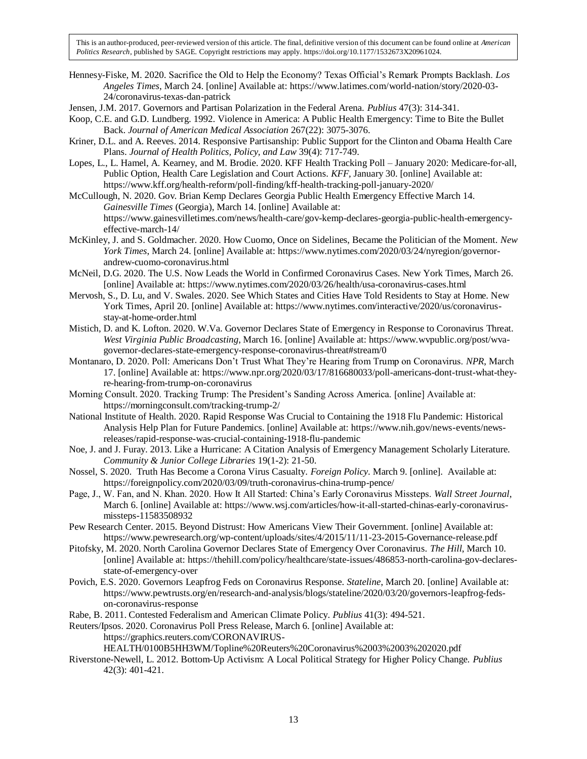- Hennesy-Fiske, M. 2020. Sacrifice the Old to Help the Economy? Texas Official's Remark Prompts Backlash. *Los Angeles Times*, March 24. [online] Available at: https://www.latimes.com/world-nation/story/2020-03- 24/coronavirus-texas-dan-patrick
- Jensen, J.M. 2017. Governors and Partisan Polarization in the Federal Arena. *Publius* 47(3): 314-341.
- Koop, C.E. and G.D. Lundberg. 1992. Violence in America: A Public Health Emergency: Time to Bite the Bullet Back. *Journal of American Medical Association* 267(22): 3075-3076.
- Kriner, D.L. and A. Reeves. 2014. Responsive Partisanship: Public Support for the Clinton and Obama Health Care Plans. *Journal of Health Politics, Policy, and Law* 39(4): 717-749.
- Lopes, L., L. Hamel, A. Kearney, and M. Brodie. 2020. KFF Health Tracking Poll January 2020: Medicare-for-all, Public Option, Health Care Legislation and Court Actions. *KFF,* January 30. [online] Available at: https://www.kff.org/health-reform/poll-finding/kff-health-tracking-poll-january-2020/
- McCullough, N. 2020. Gov. Brian Kemp Declares Georgia Public Health Emergency Effective March 14. *Gainesville Times* (Georgia), March 14. [online] Available at: https://www.gainesvilletimes.com/news/health-care/gov-kemp-declares-georgia-public-health-emergencyeffective-march-14/
- McKinley, J. and S. Goldmacher. 2020. How Cuomo, Once on Sidelines, Became the Politician of the Moment. *New York Times*, March 24. [online] Available at: https://www.nytimes.com/2020/03/24/nyregion/governorandrew-cuomo-coronavirus.html
- McNeil, D.G. 2020. The U.S. Now Leads the World in Confirmed Coronavirus Cases. New York Times, March 26. [online] Available at: https://www.nytimes.com/2020/03/26/health/usa-coronavirus-cases.html
- Mervosh, S., D. Lu, and V. Swales. 2020. See Which States and Cities Have Told Residents to Stay at Home. New York Times, April 20. [online] Available at: https://www.nytimes.com/interactive/2020/us/coronavirusstay-at-home-order.html
- Mistich, D. and K. Lofton. 2020. W.Va. Governor Declares State of Emergency in Response to Coronavirus Threat. *West Virginia Public Broadcasting*, March 16. [online] Available at: https://www.wvpublic.org/post/wvagovernor-declares-state-emergency-response-coronavirus-threat#stream/0
- Montanaro, D. 2020. Poll: Americans Don't Trust What They're Hearing from Trump on Coronavirus. *NPR*, March 17. [online] Available at: https://www.npr.org/2020/03/17/816680033/poll-americans-dont-trust-what-theyre-hearing-from-trump-on-coronavirus
- Morning Consult. 2020. Tracking Trump: The President's Sanding Across America. [online] Available at: https://morningconsult.com/tracking-trump-2/
- National Institute of Health. 2020. Rapid Response Was Crucial to Containing the 1918 Flu Pandemic: Historical Analysis Help Plan for Future Pandemics. [online] Available at: https://www.nih.gov/news-events/newsreleases/rapid-response-was-crucial-containing-1918-flu-pandemic
- Noe, J. and J. Furay. 2013. Like a Hurricane: A Citation Analysis of Emergency Management Scholarly Literature. *Community & Junior College Libraries* 19(1-2): 21-50.
- Nossel, S. 2020. Truth Has Become a Corona Virus Casualty. *Foreign Policy*. March 9. [online]. Available at: https://foreignpolicy.com/2020/03/09/truth-coronavirus-china-trump-pence/
- Page, J., W. Fan, and N. Khan. 2020. How It All Started: China's Early Coronavirus Missteps. *Wall Street Journal*, March 6. [online] Available at: https://www.wsj.com/articles/how-it-all-started-chinas-early-coronavirusmissteps-11583508932
- Pew Research Center. 2015. Beyond Distrust: How Americans View Their Government. [online] Available at: https://www.pewresearch.org/wp-content/uploads/sites/4/2015/11/11-23-2015-Governance-release.pdf
- Pitofsky, M. 2020. North Carolina Governor Declares State of Emergency Over Coronavirus. *The Hill*, March 10. [online] Available at: https://thehill.com/policy/healthcare/state-issues/486853-north-carolina-gov-declaresstate-of-emergency-over
- Povich, E.S. 2020. Governors Leapfrog Feds on Coronavirus Response. *Stateline*, March 20. [online] Available at: https://www.pewtrusts.org/en/research-and-analysis/blogs/stateline/2020/03/20/governors-leapfrog-fedson-coronavirus-response
- Rabe, B. 2011. Contested Federalism and American Climate Policy. *Publius* 41(3): 494-521.
- Reuters/Ipsos. 2020. Coronavirus Poll Press Release, March 6. [online] Available at: https://graphics.reuters.com/CORONAVIRUS-HEALTH/0100B5HH3WM/Topline%20Reuters%20Coronavirus%2003%2003%202020.pdf
- Riverstone-Newell, L. 2012. Bottom-Up Activism: A Local Political Strategy for Higher Policy Change. *Publius*  42(3): 401-421.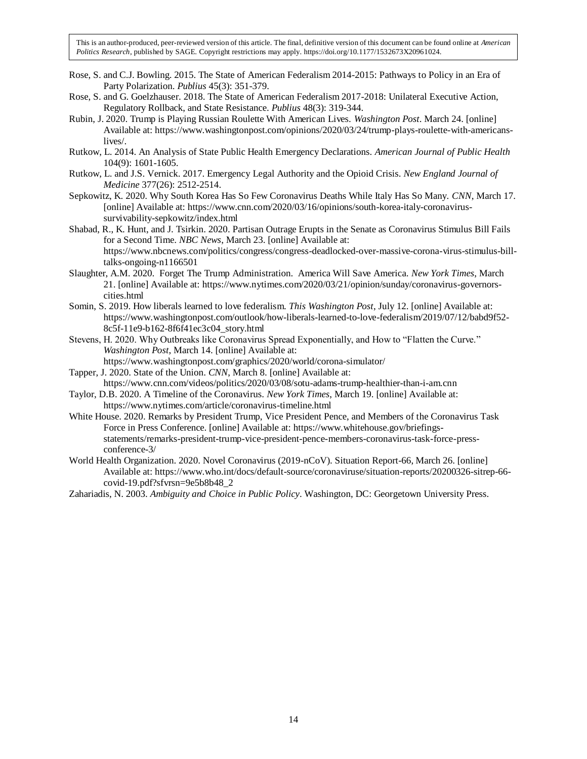- Rose, S. and C.J. Bowling. 2015. The State of American Federalism 2014-2015: Pathways to Policy in an Era of Party Polarization. *Publius* 45(3): 351-379.
- Rose, S. and G. Goelzhauser. 2018. The State of American Federalism 2017-2018: Unilateral Executive Action, Regulatory Rollback, and State Resistance. *Publius* 48(3): 319-344.
- Rubin, J. 2020. Trump is Playing Russian Roulette With American Lives. *Washington Post*. March 24. [online] Available at: https://www.washingtonpost.com/opinions/2020/03/24/trump-plays-roulette-with-americanslives/.
- Rutkow, L. 2014. An Analysis of State Public Health Emergency Declarations. *American Journal of Public Health* 104(9): 1601-1605.
- Rutkow, L. and J.S. Vernick. 2017. Emergency Legal Authority and the Opioid Crisis. *New England Journal of Medicine* 377(26): 2512-2514.
- Sepkowitz, K. 2020. Why South Korea Has So Few Coronavirus Deaths While Italy Has So Many. *CNN*, March 17. [online] Available at: https://www.cnn.com/2020/03/16/opinions/south-korea-italy-coronavirussurvivability-sepkowitz/index.html
- Shabad, R., K. Hunt, and J. Tsirkin. 2020. Partisan Outrage Erupts in the Senate as Coronavirus Stimulus Bill Fails for a Second Time. *NBC News*, March 23. [online] Available at: https://www.nbcnews.com/politics/congress/congress-deadlocked-over-massive-corona-virus-stimulus-billtalks-ongoing-n1166501
- Slaughter, A.M. 2020. Forget The Trump Administration. America Will Save America. *New York Times*, March 21. [online] Available at: https://www.nytimes.com/2020/03/21/opinion/sunday/coronavirus-governorscities.html
- Somin, S. 2019. How liberals learned to love federalism. *This Washington Post*, July 12. [online] Available at: https://www.washingtonpost.com/outlook/how-liberals-learned-to-love-federalism/2019/07/12/babd9f52- 8c5f-11e9-b162-8f6f41ec3c04\_story.html
- Stevens, H. 2020. Why Outbreaks like Coronavirus Spread Exponentially, and How to "Flatten the Curve." *Washington Post*, March 14. [online] Available at: https://www.washingtonpost.com/graphics/2020/world/corona-simulator/
- Tapper, J. 2020. State of the Union. *CNN*, March 8. [online] Available at: https://www.cnn.com/videos/politics/2020/03/08/sotu-adams-trump-healthier-than-i-am.cnn
- Taylor, D.B. 2020. A Timeline of the Coronavirus. *New York Times*, March 19. [online] Available at: https://www.nytimes.com/article/coronavirus-timeline.html
- White House. 2020. Remarks by President Trump, Vice President Pence, and Members of the Coronavirus Task Force in Press Conference. [online] Available at: https://www.whitehouse.gov/briefingsstatements/remarks-president-trump-vice-president-pence-members-coronavirus-task-force-pressconference-3/
- World Health Organization. 2020. Novel Coronavirus (2019-nCoV). Situation Report-66, March 26. [online] Available at: https://www.who.int/docs/default-source/coronaviruse/situation-reports/20200326-sitrep-66 covid-19.pdf?sfvrsn=9e5b8b48\_2
- Zahariadis, N. 2003. *Ambiguity and Choice in Public Policy*. Washington, DC: Georgetown University Press.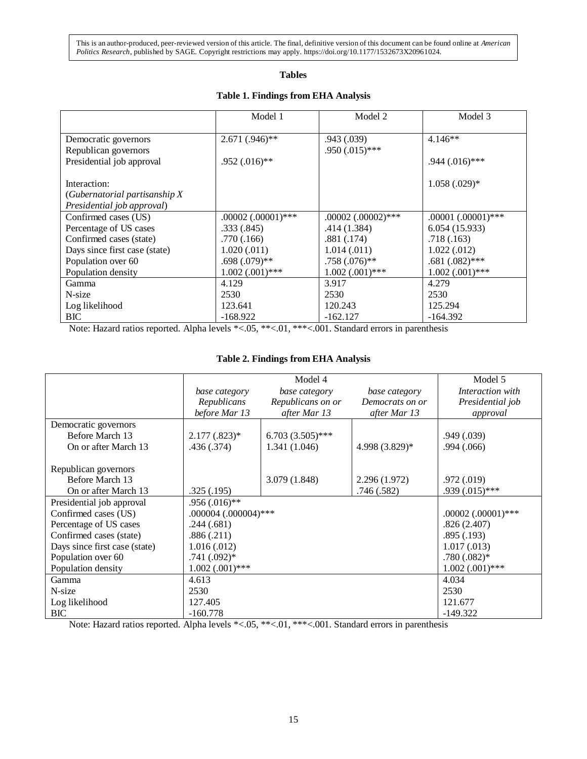#### **Tables**

### **Table 1. Findings from EHA Analysis**

|                               | Model 1              | Model 2              | Model 3              |
|-------------------------------|----------------------|----------------------|----------------------|
| Democratic governors          | $2.671(.946)$ **     | .943(.039)           | $4.146**$            |
| Republican governors          |                      | $.950(.015)$ ***     |                      |
| Presidential job approval     | $.952 \,(.016)$ **   |                      | $.944 \,(.016)$ ***  |
| Interaction:                  |                      |                      | $1.058(.029)*$       |
| (Gubernatorial partisanship X |                      |                      |                      |
| Presidential job approval)    |                      |                      |                      |
| Confirmed cases (US)          | $.00002(.00001)$ *** | $.00002(.00002)$ *** | $.00001(.00001)$ *** |
| Percentage of US cases        | .333(.845)           | .414 (1.384)         | 6.054(15.933)        |
| Confirmed cases (state)       | .770(0.166)          | .881 (.174)          | .718(.163)           |
| Days since first case (state) | 1.020(0.011)         | 1.014(0.011)         | 1.022(.012)          |
| Population over 60            | $.698(.079)$ **      | $.758(.076)$ **      | $.681(.082)$ ***     |
| Population density            | $1.002(.001)$ ***    | $1.002$ $(.001)$ *** | $1.002(.001)$ ***    |
| Gamma                         | 4.129                | 3.917                | 4.279                |
| N-size                        | 2530                 | 2530                 | 2530                 |
| Log likelihood                | 123.641              | 120.243              | 125.294              |
| BIC                           | $-168.922$           | $-162.127$           | $-164.392$           |

Note: Hazard ratios reported. Alpha levels \*<.05, \*\*<.01, \*\*\*<.001. Standard errors in parenthesis

# **Table 2. Findings from EHA Analysis**

|                               | Model 4              |                     |                 | Model 5              |
|-------------------------------|----------------------|---------------------|-----------------|----------------------|
|                               | base category        | base category       | base category   | Interaction with     |
|                               | Republicans          | Republicans on or   | Democrats on or | Presidential job     |
|                               | before Mar 13        | after Mar 13        | after Mar 13    | approval             |
| Democratic governors          |                      |                     |                 |                      |
| Before March 13               | $2.177(.823)*$       | 6.703 $(3.505)$ *** |                 | .949(.039)           |
| On or after March 13          | .436(.374)           | 1.341(1.046)        | 4.998 (3.829)*  | $.994 \,(.066)$      |
|                               |                      |                     |                 |                      |
| Republican governors          |                      |                     |                 |                      |
| Before March 13               |                      | 3.079 (1.848)       | 2.296 (1.972)   | .972(.019)           |
| On or after March 13          | .325(.195)           |                     | .746(.582)      | $.939(.015)$ ***     |
| Presidential job approval     | $.956(.016)$ **      |                     |                 |                      |
| Confirmed cases (US)          | .000004 (.000004)*** |                     |                 | $.00002(.00001)$ *** |
| Percentage of US cases        | .244(.681)           |                     |                 | .826(2.407)          |
| Confirmed cases (state)       | .886(.211)           |                     |                 | .895(.193)           |
| Days since first case (state) | 1.016(.012)          | 1.017(0.013)        |                 |                      |
| Population over 60            | $.741(.092)*$        | $.780(.082)*$       |                 |                      |
| Population density            | $1.002$ $(.001)$ *** | $1.002(.001)$ ***   |                 |                      |
| Gamma                         | 4.613                |                     |                 | 4.034                |
| N-size                        | 2530                 |                     |                 | 2530                 |
| Log likelihood                | 127.405              |                     |                 | 121.677              |
| <b>BIC</b>                    | $-160.778$           |                     |                 | $-149.322$           |

Note: Hazard ratios reported. Alpha levels \*<.05, \*\*<.01, \*\*\*<.001. Standard errors in parenthesis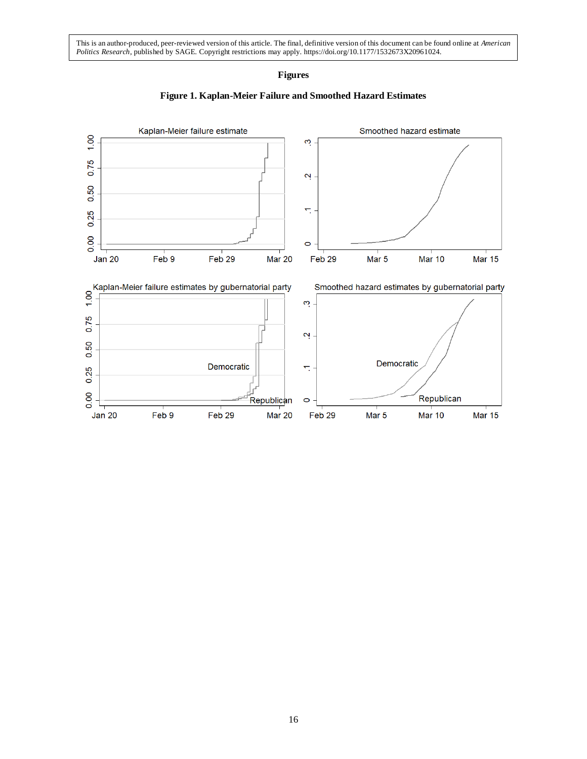#### **Figures**



# **Figure 1. Kaplan-Meier Failure and Smoothed Hazard Estimates**